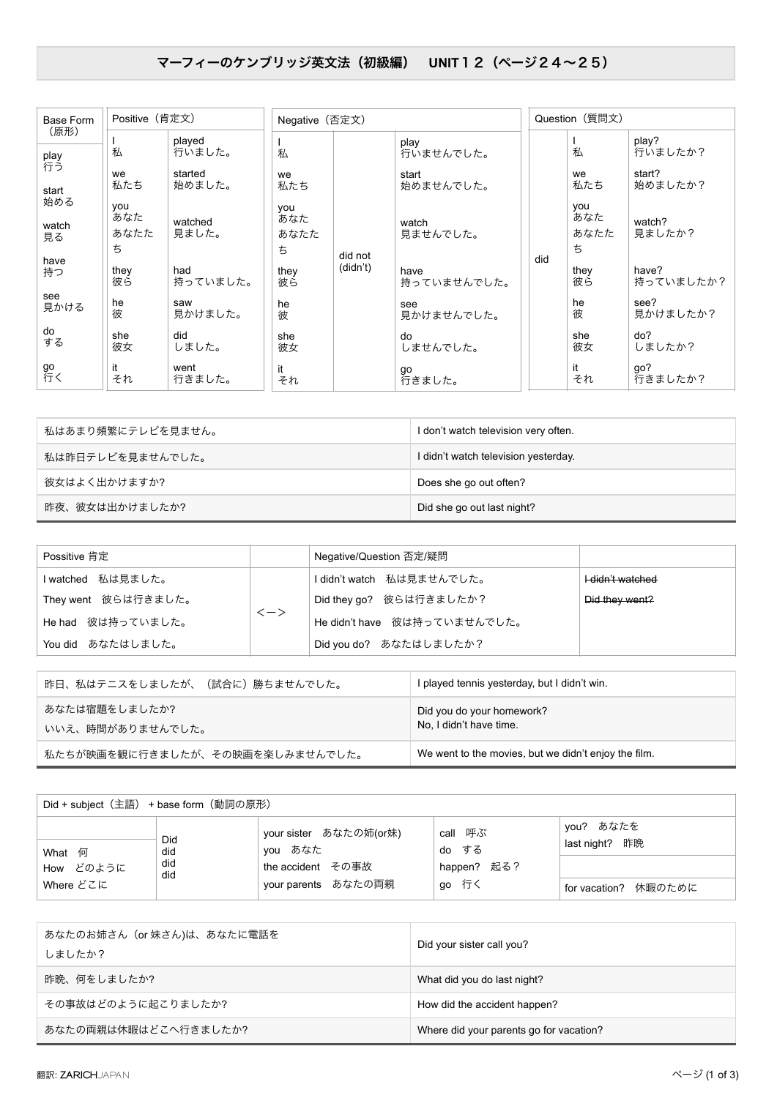## マーフィーのケンブリッジ英文法 (初級編) UNIT1 2 (ページ24~25)

| Base Form    | Positive (肯定文) |                 | Negative (否定文) |          |                     |     | Question (質問文) |                    |  |
|--------------|----------------|-----------------|----------------|----------|---------------------|-----|----------------|--------------------|--|
| (原形)         |                | played          |                |          | play                |     |                | play?              |  |
| play<br>行う   | 私              | 行いました。          | 私              |          | 行いませんでした。           |     | 私              | 行いましたか?            |  |
|              | we             | started         | we             |          | start               |     | we             | start?             |  |
| start<br>始める | 私たち            | 始めました。          | 私たち            |          | 始めませんでした。           |     | 私たち            | 始めましたか?            |  |
|              | you<br>あなた     | watched         | you<br>あなた     |          |                     |     | you<br>あなた     | watch?             |  |
| watch<br>見る  | あなたた           | 見ました。           | あなたた           |          | watch<br>見ませんでした。   |     | あなたた           | 見ましたか?             |  |
|              | ち              |                 | ち              | did not  |                     |     | ち              |                    |  |
| have<br>持つ   | they<br>彼ら     | had<br>持っていました。 | they<br>彼ら     | (didn't) | have<br>持っていませんでした。 | did | they<br>彼ら     | have?<br>持っていましたか? |  |
| see<br>見かける  | he<br>彼        | saw<br>見かけました。  | he<br>彼        |          | see<br>見かけませんでした。   |     | he<br>彼        | see?<br>見かけましたか?   |  |
| do<br>する     | she<br>彼女      | did<br>しました。    | she<br>彼女      |          | do<br>しませんでした。      |     | she<br>彼女      | do?<br>しましたか?      |  |
| go<br>行く     | it<br>それ       | went<br>行きました。  | it<br>それ       |          | go<br>行きました。        |     | it<br>それ       | go?<br>行きましたか?     |  |

| 私はあまり頻繁にテレビを見ません。 | I don't watch television very often. |
|-------------------|--------------------------------------|
| 私は昨日テレビを見ませんでした。  | I didn't watch television yesterday. |
| 彼女はよく出かけますか?      | Does she go out often?               |
| 昨夜、彼女は出かけましたか?    | Did she go out last night?           |

| Possitive 肯定        |                               | Negative/Question 否定/疑問      |                  |
|---------------------|-------------------------------|------------------------------|------------------|
| Iwatched 私は見ました。    |                               | I didn't watch 私は見ませんでした。    | I-didn't watched |
| They went 彼らは行きました。 |                               | Did they go? 彼らは行きましたか?      | Did they went?   |
| He had 彼は持っていました。   | $\left\langle -\right\rangle$ | He didn't have 彼は持っていませんでした。 |                  |
| You did あなたはしました。   |                               | Did you do? あなたはしましたか?       |                  |

| 昨日、私はテニスをしましたが、(試合に)勝ちませんでした。     | I played tennis yesterday, but I didn't win.         |
|-----------------------------------|------------------------------------------------------|
| あなたは宿題をしましたか?<br>いいえ、時間がありませんでした。 | Did you do your homework?<br>No, I didn't have time. |
| 私たちが映画を観に行きましたが、その映画を楽しみませんでした。   | We went to the movies, but we didn't enjoy the film. |

| Did + subject (主語) + base form (動詞の原形) |                          |                                                                               |                                          |                                                           |  |
|----------------------------------------|--------------------------|-------------------------------------------------------------------------------|------------------------------------------|-----------------------------------------------------------|--|
| What 何<br>How どのように<br>Where どこに       | Did<br>did<br>did<br>did | your sister あなたの姉(or妹)<br>you あなた<br>the accident その事故<br>your parents あなたの両親 | call 呼ぶ<br>do する<br>happen? 起る?<br>go 行く | you? あなたを<br>昨晩<br>last night?<br>休暇のために<br>for vacation? |  |

| あなたのお姉さん(or 妹さん)は、あなたに電話を<br>しましたか? | Did your sister call you?               |
|-------------------------------------|-----------------------------------------|
| 昨晩、何をしましたか?                         | What did you do last night?             |
| その事故はどのように起こりましたか?                  | How did the accident happen?            |
| あなたの両親は休暇はどこへ行きましたか?                | Where did your parents go for vacation? |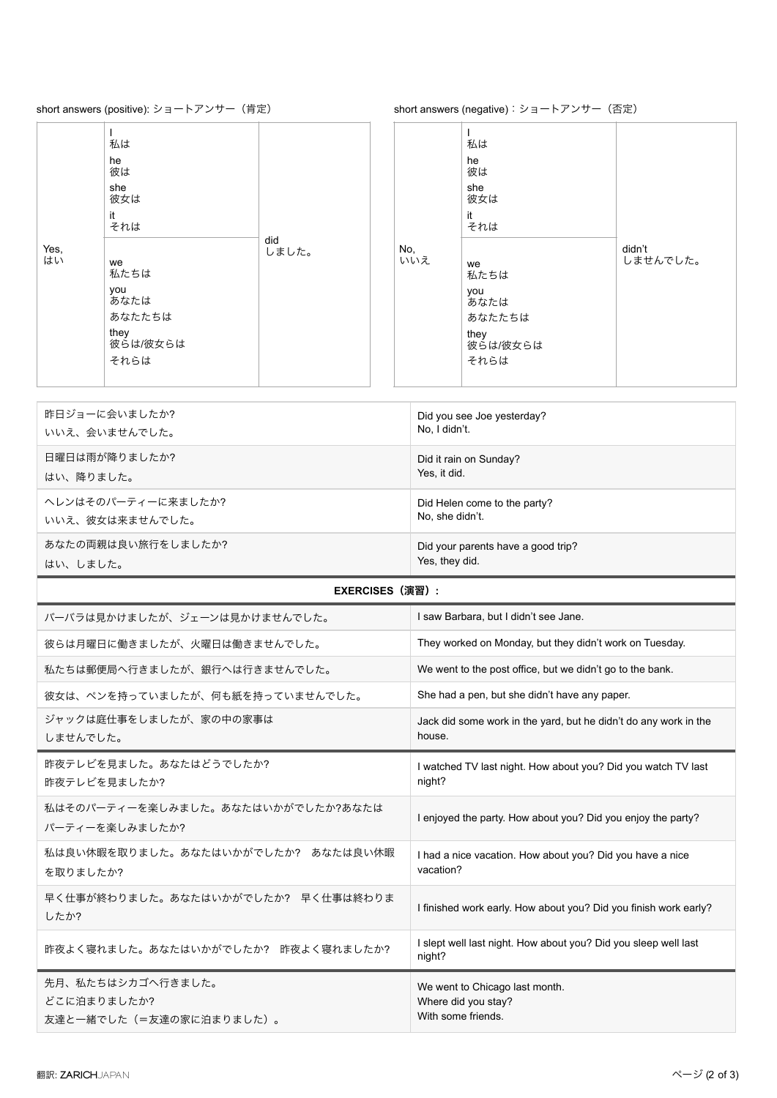## short answers (positive): ショートアンサー (肯定)

short answers (negative): ショートアンサー (否定)

|            | 私は<br>he<br>彼は<br>she<br>彼女は<br>it<br>それは                       |              |            | 私は<br>he<br>彼は<br>she<br>彼女は<br>it<br>それは                       |                    |
|------------|-----------------------------------------------------------------|--------------|------------|-----------------------------------------------------------------|--------------------|
| Yes,<br>はい | we<br>私たちは<br>you<br>あなたは<br>あなたたちは<br>they<br>彼らは/彼女らは<br>それらは | did<br>しました。 | No,<br>いいえ | we<br>私たちは<br>you<br>あなたは<br>あなたたちは<br>they<br>彼らは/彼女らは<br>それらは | didn't<br>しませんでした。 |

| 昨日ジョーに会いましたか?      | Did you see Joe yesterday?         |
|--------------------|------------------------------------|
| いいえ、会いませんでした。      | No, I didn't.                      |
| 日曜日は雨が降りましたか?      | Did it rain on Sunday?             |
| はい、降りました。          | Yes. it did.                       |
| ヘレンはそのパーティーに来ましたか? | Did Helen come to the party?       |
| いいえ、彼女は来ませんでした。    | No, she didn't.                    |
| あなたの両親は良い旅行をしましたか? | Did your parents have a good trip? |
| はい、しました。           | Yes, they did.                     |

## **EXERCISES**ʢԋशʣ**:**

| バーバラは見かけましたが、ジェーンは見かけませんでした。                                | I saw Barbara, but I didn't see Jane.                                       |
|-------------------------------------------------------------|-----------------------------------------------------------------------------|
| 彼らは月曜日に働きましたが、火曜日は働きませんでした。                                 | They worked on Monday, but they didn't work on Tuesday.                     |
| 私たちは郵便局へ行きましたが、銀行へは行きませんでした。                                | We went to the post office, but we didn't go to the bank.                   |
| 彼女は、ペンを持っていましたが、何も紙を持っていませんでした。                             | She had a pen, but she didn't have any paper.                               |
| ジャックは庭仕事をしましたが、家の中の家事は<br>しませんでした。                          | Jack did some work in the yard, but he didn't do any work in the<br>house.  |
| 昨夜テレビを見ました。あなたはどうでしたか?<br>昨夜テレビを見ましたか?                      | I watched TV last night. How about you? Did you watch TV last<br>night?     |
| 私はそのパーティーを楽しみました。あなたはいかがでしたか?あなたは<br>パーティーを楽しみましたか?         | I enjoyed the party. How about you? Did you enjoy the party?                |
| 私は良い休暇を取りました。あなたはいかがでしたか? あなたは良い休暇<br>を取りましたか?              | I had a nice vacation. How about you? Did you have a nice<br>vacation?      |
| 早く仕事が終わりました。あなたはいかがでしたか? 早く仕事は終わりま<br>したか?                  | I finished work early. How about you? Did you finish work early?            |
| 昨夜よく寝れました。あなたはいかがでしたか? 昨夜よく寝れましたか?                          | I slept well last night. How about you? Did you sleep well last<br>night?   |
| 先月、私たちはシカゴへ行きました。<br>どこに泊まりましたか?<br>友達と一緒でした(=友達の家に泊まりました)。 | We went to Chicago last month.<br>Where did you stay?<br>With some friends. |